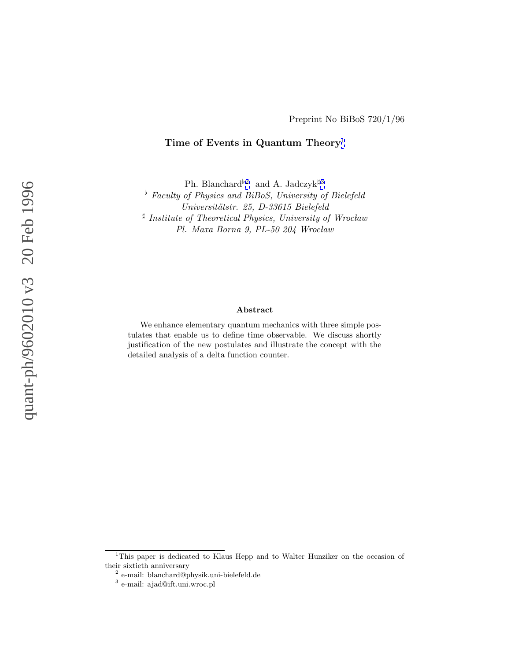## **Time of Events in Quantum Theory**<sup>1</sup>

Ph. Blanchard<sup>b2</sup> and A. Jadczyk<sup>#3</sup>

 $\overline{F}$  Faculty of Physics and BiBoS, University of Bielefeld Universitätstr. 25, D-33615 Bielefeld  $\sharp$  Institute of Theoretical Physics, University of Wrocław Pl. Maxa Borna 9, PL-50 204 Wrocław

#### **Abstract**

We enhance elementary quantum mechanics with three simple postulates that enable us to define time observable. We discuss shortly justification of the new postulates and illustrate the concept with the detailed analysis of a delta function counter.

<sup>1</sup>This paper is dedicated to Klaus Hepp and to Walter Hunziker on the occasion of their sixtieth anniversary

<sup>2</sup> e-mail: blanchard@physik.uni-bielefeld.de

<sup>3</sup> e-mail: ajad@ift.uni.wroc.pl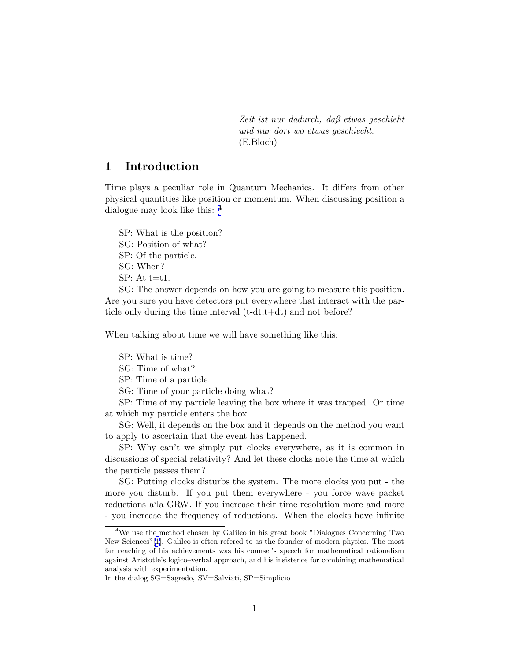Zeit ist nur dadurch, daß etwas geschieht und nur dort wo etwas geschiecht. (E.Bloch)

# **1 Introduction**

Time plays a peculiar role in Quantum Mechanics. It differs from other physical quantities like position or momentum. When discussing position a dialogue may look like this: <sup>4</sup>

SP: What is the position? SG: Position of what? SP: Of the particle. SG: When?  $SP: At t=t1.$ 

SG: The answer depends on how you are going to measure this position. Are you sure you have detectors put everywhere that interact with the particle only during the time interval (t-dt,t+dt) and not before?

When talking about time we will have something like this:

SP: What is time?

SG: Time of what?

SP: Time of a particle.

SG: Time of your particle doing what?

SP: Time of my particle leaving the box where it was trapped. Or time at which my particle enters the box.

SG: Well, it depends on the box and it depends on the method you want to apply to ascertain that the event has happened.

SP: Why can't we simply put clocks everywhere, as it is common in discussions of special relativity? And let these clocks note the time at which the particle passes them?

SG: Putting clocks disturbs the system. The more clocks you put - the more you disturb. If you put them everywhere - you force wave packet reductions a'la GRW. If you increase their time resolution more and more - you increase the frequency of reductions. When the clocks have infinite

<sup>&</sup>lt;sup>4</sup>We use the method chosen by Galileo in his great book "Dialogues Concerning Two New Sciences"[\[1](#page-18-0)]. Galileo is often refered to as the founder of modern physics. The most far–reaching of his achievements was his counsel's speech for mathematical rationalism against Aristotle's logico–verbal approach, and his insistence for combining mathematical analysis with experimentation.

In the dialog SG=Sagredo, SV=Salviati, SP=Simplicio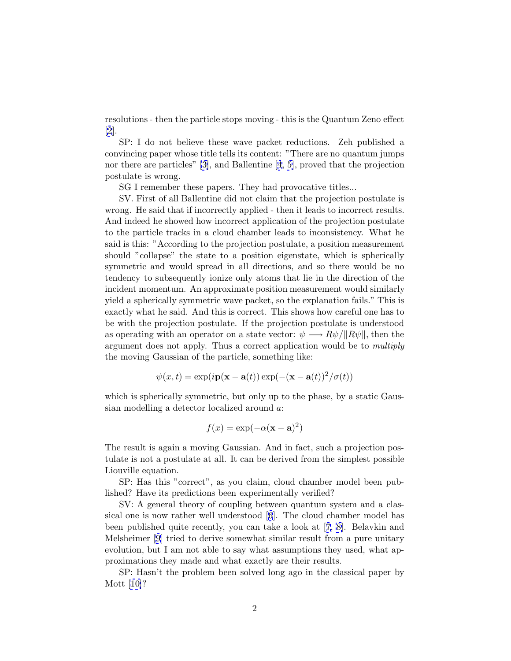resolutions - then the particle stops moving - this is the Quantum Zeno effect [[2](#page-18-0)].

SP: I do not believe these wave packet reductions. Zeh published a convincing paper whose title tells its content: "There are no quantum jumps nor there are particles" [\[3\]](#page-18-0), and Ballentine [[4, 5\]](#page-18-0), proved that the projection postulate is wrong.

SG I remember these papers. They had provocative titles...

SV. First of all Ballentine did not claim that the projection postulate is wrong. He said that if incorrectly applied - then it leads to incorrect results. And indeed he showed how incorrect application of the projection postulate to the particle tracks in a cloud chamber leads to inconsistency. What he said is this: "According to the projection postulate, a position measurement should "collapse" the state to a position eigenstate, which is spherically symmetric and would spread in all directions, and so there would be no tendency to subsequently ionize only atoms that lie in the direction of the incident momentum. An approximate position measurement would similarly yield a spherically symmetric wave packet, so the explanation fails." This is exactly what he said. And this is correct. This shows how careful one has to be with the projection postulate. If the projection postulate is understood as operating with an operator on a state vector:  $\psi \longrightarrow R\psi/||R\psi||$ , then the argument does not apply. Thus a correct application would be to multiply the moving Gaussian of the particle, something like:

$$
\psi(x,t) = \exp(i\mathbf{p}(\mathbf{x}-\mathbf{a}(t))\exp(-(\mathbf{x}-\mathbf{a}(t))^2/\sigma(t))
$$

which is spherically symmetric, but only up to the phase, by a static Gaussian modelling a detector localized around a:

$$
f(x) = \exp(-\alpha(\mathbf{x} - \mathbf{a})^2)
$$

The result is again a moving Gaussian. And in fact, such a projection postulate is not a postulate at all. It can be derived from the simplest possible Liouville equation.

SP: Has this "correct", as you claim, cloud chamber model been published? Have its predictions been experimentally verified?

SV: A general theory of coupling between quantum system and a classical one is now rather well understood [[6](#page-19-0)]. The cloud chamber model has been published quite recently, you can take a look at [[7](#page-19-0), [8\]](#page-19-0). Belavkin and Melsheimer [[9](#page-19-0)] tried to derive somewhat similar result from a pure unitary evolution, but I am not able to say what assumptions they used, what approximations they made and what exactly are their results.

SP: Hasn't the problem been solved long ago in the classical paper by Mott [\[10\]](#page-19-0)?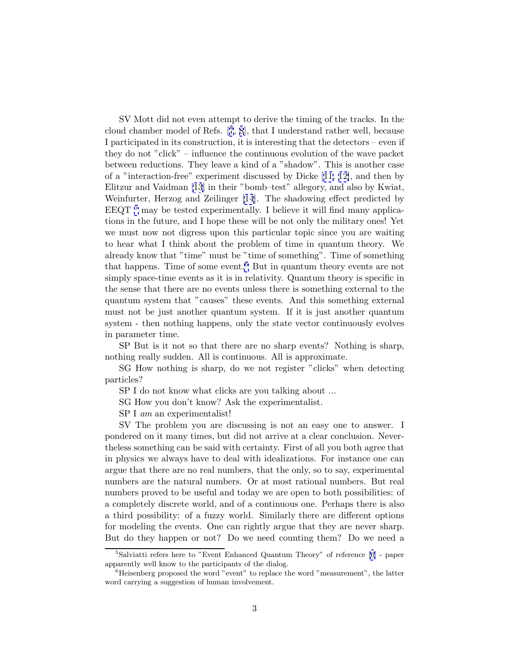SV Mott did not even attempt to derive the timing of the tracks. In the cloud chamber model of Refs. [[7](#page-19-0), [8](#page-19-0)], that I understand rather well, because I participated in its construction, it is interesting that the detectors – even if they do not "click" – influence the continuous evolution of the wave packet between reductions. They leave a kind of a "shadow". This is another case of a "interaction-free" experiment discussed by Dicke [[11, 12\]](#page-19-0), and then by Elitzur and Vaidman [\[13\]](#page-19-0) in their "bomb–test" allegory, and also by Kwiat, Weinfurter, Herzog and Zeilinger [\[14](#page-19-0)]. The shadowing effect predicted by EEQT  $^5$  may be tested experimentally. I believe it will find many applications in the future, and I hope these will be not only the military ones! Yet we must now not digress upon this particular topic since you are waiting to hear what I think about the problem of time in quantum theory. We already know that "time" must be "time of something". Time of something that happens. Time of some event.<sup>6</sup> But in quantum theory events are not simply space-time events as it is in relativity. Quantum theory is specific in the sense that there are no events unless there is something external to the quantum system that "causes" these events. And this something external must not be just another quantum system. If it is just another quantum system - then nothing happens, only the state vector continuously evolves in parameter time.

SP But is it not so that there are no sharp events? Nothing is sharp, nothing really sudden. All is continuous. All is approximate.

SG How nothing is sharp, do we not register "clicks" when detecting particles?

SP I do not know what clicks are you talking about ...

SG How you don't know? Ask the experimentalist.

SP I *am* an experimentalist!

SV The problem you are discussing is not an easy one to answer. I pondered on it many times, but did not arrive at a clear conclusion. Nevertheless something can be said with certainty. First of all you both agree that in physics we always have to deal with idealizations. For instance one can argue that there are no real numbers, that the only, so to say, experimental numbers are the natural numbers. Or at most rational numbers. But real numbers proved to be useful and today we are open to both possibilities: of a completely discrete world, and of a continuous one. Perhaps there is also a third possibility: of a fuzzy world. Similarly there are different options for modeling the events. One can rightly argue that they are never sharp. But do they happen or not? Do we need counting them? Do we need a

<sup>&</sup>lt;sup>5</sup>Salviatti refers here to "Event Enhanced Quantum Theory" of reference [\[6\]](#page-19-0) - paper apparently well know to the participants of the dialog.

 ${}^{6}$ Heisenberg proposed the word "event" to replace the word "measurement", the latter word carrying a suggestion of human involvement.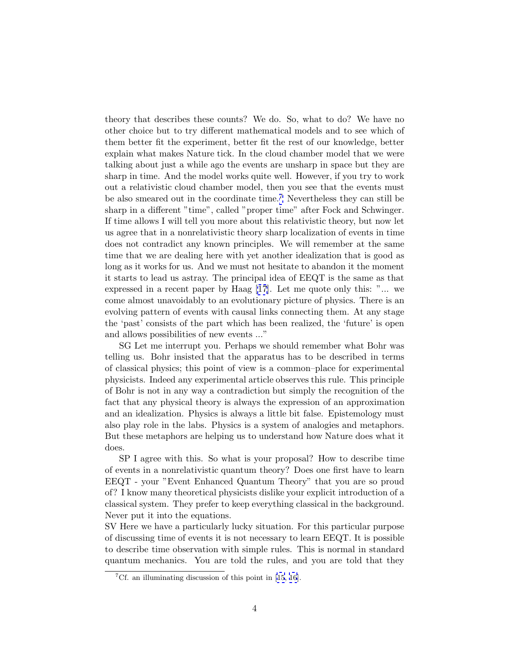theory that describes these counts? We do. So, what to do? We have no other choice but to try different mathematical models and to see which of them better fit the experiment, better fit the rest of our knowledge, better explain what makes Nature tick. In the cloud chamber model that we were talking about just a while ago the events are unsharp in space but they are sharp in time. And the model works quite well. However, if you try to work out a relativistic cloud chamber model, then you see that the events must be also smeared out in the coordinate time.<sup>7</sup> Nevertheless they can still be sharp in a different "time", called "proper time" after Fock and Schwinger. If time allows I will tell you more about this relativistic theory, but now let us agree that in a nonrelativistic theory sharp localization of events in time does not contradict any known principles. We will remember at the same time that we are dealing here with yet another idealization that is good as long as it works for us. And we must not hesitate to abandon it the moment it starts to lead us astray. The principal idea of EEQT is the same as that expressed in a recent paper by Haag [\[17\]](#page-19-0). Let me quote only this: "... we come almost unavoidably to an evolutionary picture of physics. There is an evolving pattern of events with causal links connecting them. At any stage the 'past' consists of the part which has been realized, the 'future' is open and allows possibilities of new events ..."

SG Let me interrupt you. Perhaps we should remember what Bohr was telling us. Bohr insisted that the apparatus has to be described in terms of classical physics; this point of view is a common–place for experimental physicists. Indeed any experimental article observes this rule. This principle of Bohr is not in any way a contradiction but simply the recognition of the fact that any physical theory is always the expression of an approximation and an idealization. Physics is always a little bit false. Epistemology must also play role in the labs. Physics is a system of analogies and metaphors. But these metaphors are helping us to understand how Nature does what it does.

SP I agree with this. So what is your proposal? How to describe time of events in a nonrelativistic quantum theory? Does one first have to learn EEQT - your "Event Enhanced Quantum Theory" that you are so proud of? I know many theoretical physicists dislike your explicit introduction of a classical system. They prefer to keep everything classical in the background. Never put it into the equations.

SV Here we have a particularly lucky situation. For this particular purpose of discussing time of events it is not necessary to learn EEQT. It is possible to describe time observation with simple rules. This is normal in standard quantum mechanics. You are told the rules, and you are told that they

<sup>&</sup>lt;sup>7</sup>Cf. an illuminating discussion of this point in [\[15](#page-19-0), [16](#page-19-0)].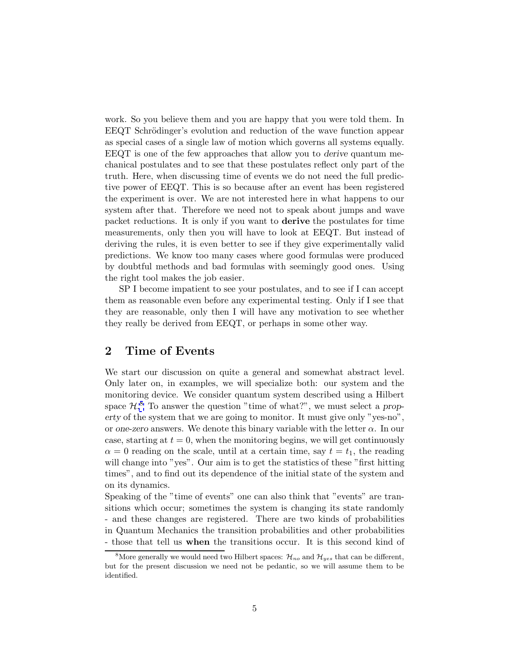work. So you believe them and you are happy that you were told them. In EEQT Schrödinger's evolution and reduction of the wave function appear as special cases of a single law of motion which governs all systems equally. EEQT is one of the few approaches that allow you to *derive* quantum mechanical postulates and to see that these postulates reflect only part of the truth. Here, when discussing time of events we do not need the full predictive power of EEQT. This is so because after an event has been registered the experiment is over. We are not interested here in what happens to our system after that. Therefore we need not to speak about jumps and wave packet reductions. It is only if you want to **derive** the postulates for time measurements, only then you will have to look at EEQT. But instead of deriving the rules, it is even better to see if they give experimentally valid predictions. We know too many cases where good formulas were produced by doubtful methods and bad formulas with seemingly good ones. Using the right tool makes the job easier.

SP I become impatient to see your postulates, and to see if I can accept them as reasonable even before any experimental testing. Only if I see that they are reasonable, only then I will have any motivation to see whether they really be derived from EEQT, or perhaps in some other way.

## **2 Time of Events**

We start our discussion on quite a general and somewhat abstract level. Only later on, in examples, we will specialize both: our system and the monitoring device. We consider quantum system described using a Hilbert space  $\mathcal{H}$ <sup>8</sup>. To answer the question "time of what?", we must select a *property* of the system that we are going to monitor. It must give only "yes-no", or *one-zero* answers. We denote this binary variable with the letter  $\alpha$ . In our case, starting at  $t = 0$ , when the monitoring begins, we will get continuously  $\alpha = 0$  reading on the scale, until at a certain time, say  $t = t_1$ , the reading will change into "yes". Our aim is to get the statistics of these "first hitting" times", and to find out its dependence of the initial state of the system and on its dynamics.

Speaking of the "time of events" one can also think that "events" are transitions which occur; sometimes the system is changing its state randomly - and these changes are registered. There are two kinds of probabilities in Quantum Mechanics the transition probabilities and other probabilities - those that tell us **when** the transitions occur. It is this second kind of

<sup>&</sup>lt;sup>8</sup>More generally we would need two Hilbert spaces:  $\mathcal{H}_{no}$  and  $\mathcal{H}_{ves}$  that can be different, but for the present discussion we need not be pedantic, so we will assume them to be identified.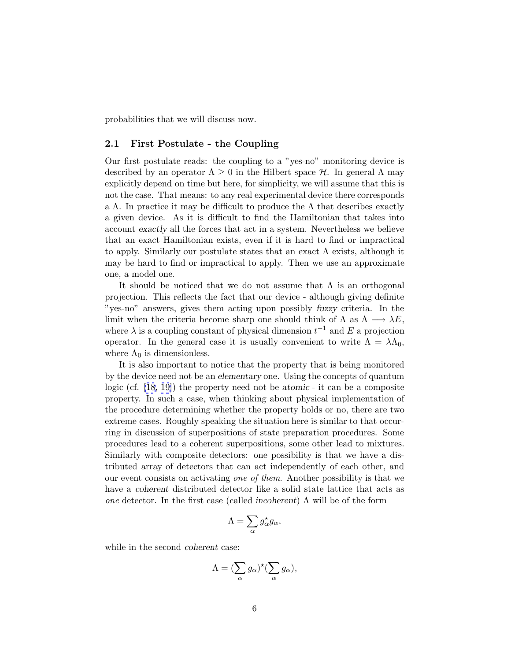probabilities that we will discuss now.

### **2.1 First Postulate - the Coupling**

Our first postulate reads: the coupling to a "yes-no" monitoring device is described by an operator  $\Lambda \geq 0$  in the Hilbert space H. In general  $\Lambda$  may explicitly depend on time but here, for simplicity, we will assume that this is not the case. That means: to any real experimental device there corresponds a Λ. In practice it may be difficult to produce the  $\Lambda$  that describes exactly a given device. As it is difficult to find the Hamiltonian that takes into account *exactly* all the forces that act in a system. Nevertheless we believe that an exact Hamiltonian exists, even if it is hard to find or impractical to apply. Similarly our postulate states that an exact  $\Lambda$  exists, although it may be hard to find or impractical to apply. Then we use an approximate one, a model one.

It should be noticed that we do not assume that  $\Lambda$  is an orthogonal projection. This reflects the fact that our device - although giving definite "yes-no" answers, gives them acting upon possibly *fuzzy* criteria. In the limit when the criteria become sharp one should think of  $\Lambda$  as  $\Lambda \longrightarrow \lambda E$ , where  $\lambda$  is a coupling constant of physical dimension  $t^{-1}$  and E a projection operator. In the general case it is usually convenient to write  $\Lambda = \lambda \Lambda_0$ , where  $\Lambda_0$  is dimensionless.

It is also important to notice that the property that is being monitored by the device need not be an *elementary* one. Using the concepts of quantum logic (cf. [\[18, 19\]](#page-20-0)) the property need not be *atomic* - it can be a composite property. In such a case, when thinking about physical implementation of the procedure determining whether the property holds or no, there are two extreme cases. Roughly speaking the situation here is similar to that occurring in discussion of superpositions of state preparation procedures. Some procedures lead to a coherent superpositions, some other lead to mixtures. Similarly with composite detectors: one possibility is that we have a distributed array of detectors that can act independently of each other, and our event consists on activating one of them. Another possibility is that we have a *coherent* distributed detector like a solid state lattice that acts as one detector. In the first case (called *incoherent*) Λ will be of the form

$$
\Lambda=\sum_{\alpha}g_{\alpha}^{\star}g_{\alpha},
$$

while in the second *coherent* case:

$$
\Lambda = (\sum_{\alpha} g_{\alpha})^{\star} (\sum_{\alpha} g_{\alpha}),
$$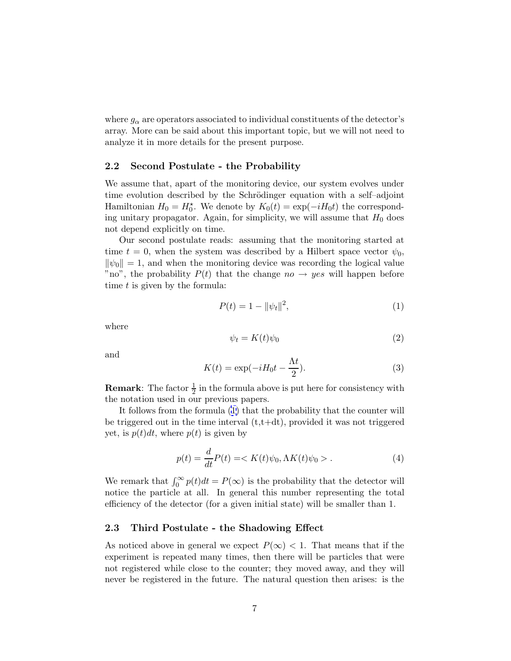<span id="page-7-0"></span>where  $g_{\alpha}$  are operators associated to individual constituents of the detector's array. More can be said about this important topic, but we will not need to analyze it in more details for the present purpose.

#### **2.2 Second Postulate - the Probability**

We assume that, apart of the monitoring device, our system evolves under time evolution described by the Schrödinger equation with a self–adjoint Hamiltonian  $H_0 = H_0^*$ . We denote by  $K_0(t) = \exp(-iH_0t)$  the corresponding unitary propagator. Again, for simplicity, we will assume that  $H_0$  does not depend explicitly on time.

Our second postulate reads: assuming that the monitoring started at time  $t = 0$ , when the system was described by a Hilbert space vector  $\psi_0$ ,  $\|\psi_0\| = 1$ , and when the monitoring device was recording the logical value "no", the probability  $P(t)$  that the change  $no \rightarrow yes$  will happen before time  $t$  is given by the formula:

$$
P(t) = 1 - ||\psi_t||^2,
$$
\n(1)

where

$$
\psi_t = K(t)\psi_0 \tag{2}
$$

and

$$
K(t) = \exp(-iH_0t - \frac{\Lambda t}{2}).
$$
\n(3)

**Remark**: The factor  $\frac{1}{2}$  in the formula above is put here for consistency with the notation used in our previous papers.

It follows from the formula (1) that the probability that the counter will be triggered out in the time interval  $(t,t+dt)$ , provided it was not triggered yet, is  $p(t)dt$ , where  $p(t)$  is given by

$$
p(t) = \frac{d}{dt}P(t) = \langle K(t)\psi_0, \Lambda K(t)\psi_0 \rangle.
$$
 (4)

We remark that  $\int_0^\infty p(t)dt = P(\infty)$  is the probability that the detector will notice the particle at all. In general this number representing the total efficiency of the detector (for a given initial state) will be smaller than 1.

#### **2.3 Third Postulate - the Shadowing Effect**

As noticed above in general we expect  $P(\infty) < 1$ . That means that if the experiment is repeated many times, then there will be particles that were not registered while close to the counter; they moved away, and they will never be registered in the future. The natural question then arises: is the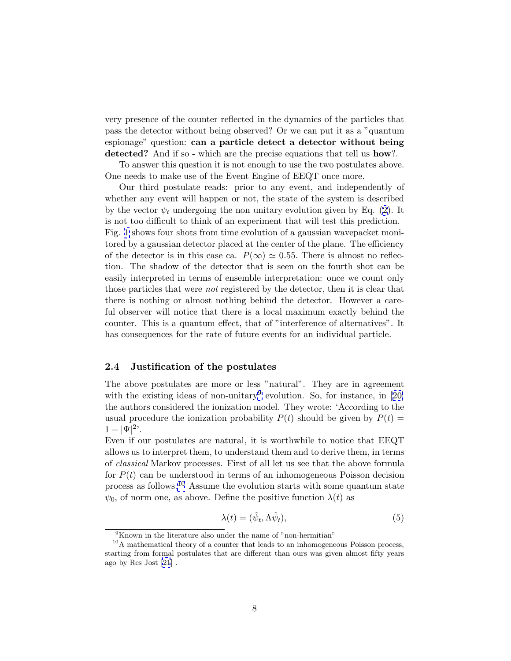<span id="page-8-0"></span>very presence of the counter reflected in the dynamics of the particles that pass the detector without being observed? Or we can put it as a "quantum espionage" question: **can a particle detect a detector without being detected?** And if so - which are the precise equations that tell us **how**?.

To answer this question it is not enough to use the two postulates above. One needs to make use of the Event Engine of EEQT once more.

Our third postulate reads: prior to any event, and independently of whether any event will happen or not, the state of the system is described by the vector  $\psi_t$  undergoing the non unitary evolution given by Eq. ([2](#page-7-0)). It is not too difficult to think of an experiment that will test this prediction. Fig. [1](#page-22-0) shows four shots from time evolution of a gaussian wavepacket monitored by a gaussian detector placed at the center of the plane. The efficiency of the detector is in this case ca.  $P(\infty) \simeq 0.55$ . There is almost no reflection. The shadow of the detector that is seen on the fourth shot can be easily interpreted in terms of ensemble interpretation: once we count only those particles that were *not* registered by the detector, then it is clear that there is nothing or almost nothing behind the detector. However a careful observer will notice that there is a local maximum exactly behind the counter. This is a quantum effect, that of "interference of alternatives". It has consequences for the rate of future events for an individual particle.

### **2.4 Justification of the postulates**

The above postulates are more or less "natural". They are in agreement with the existing ideas of non-unitary<sup>9</sup> evolution. So, for instance, in [[20\]](#page-20-0) the authors considered the ionization model. They wrote: 'According to the usual procedure the ionization probability  $P(t)$  should be given by  $P(t)$  =  $1 - |\Psi|^2$ <sup>2</sup>.

Even if our postulates are natural, it is worthwhile to notice that EEQT allows us to interpret them, to understand them and to derive them, in terms of classical Markov processes. First of all let us see that the above formula for  $P(t)$  can be understood in terms of an inhomogeneous Poisson decision process as follows.<sup>10</sup> Assume the evolution starts with some quantum state  $\psi_0$ , of norm one, as above. Define the positive function  $\lambda(t)$  as

$$
\lambda(t) = (\hat{\psi}_t, \Lambda \hat{\psi}_t),\tag{5}
$$

 ${}^{9}$ Known in the literature also under the name of "non-hermitian"

<sup>&</sup>lt;sup>10</sup>A mathematical theory of a counter that leads to an inhomogeneous Poisson process, starting from formal postulates that are different than ours was given almost fifty years ago by Res Jost [\[21](#page-20-0)] .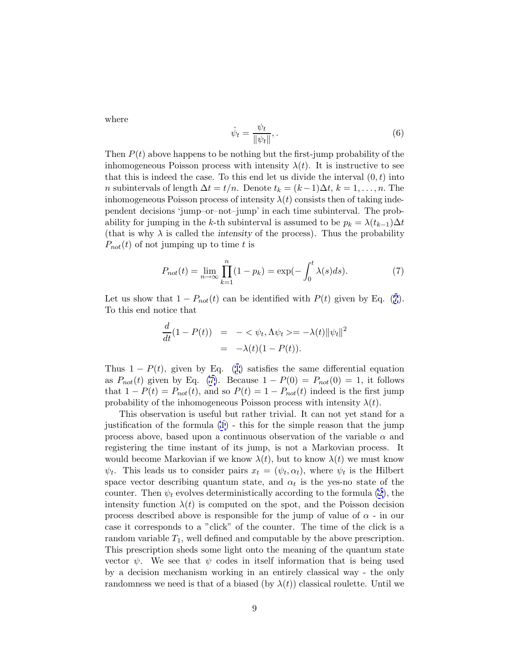where

$$
\hat{\psi}_t = \frac{\psi_t}{\|\psi_t\|},\tag{6}
$$

Then  $P(t)$  above happens to be nothing but the first-jump probability of the inhomogeneous Poisson process with intensity  $\lambda(t)$ . It is instructive to see that this is indeed the case. To this end let us divide the interval  $(0, t)$  into *n* subintervals of length  $\Delta t = t/n$ . Denote  $t_k = (k-1)\Delta t$ ,  $k = 1, \ldots, n$ . The inhomogeneous Poisson process of intensity  $\lambda(t)$  consists then of taking independent decisions 'jump–or–not–jump' in each time subinterval. The probability for jumping in the k-th subinterval is assumed to be  $p_k = \lambda(t_{k-1})\Delta t$ (that is why  $\lambda$  is called the *intensity* of the process). Thus the probability  $P_{not}(t)$  of not jumping up to time t is

$$
P_{not}(t) = \lim_{n \to \infty} \prod_{k=1}^{n} (1 - p_k) = \exp(-\int_0^t \lambda(s) ds).
$$
 (7)

Let us show that  $1 - P_{not}(t)$  can be identified with  $P(t)$  given by Eq. (7). To this end notice that

$$
\frac{d}{dt}(1 - P(t)) = -\langle \psi_t, \Lambda \psi_t \rangle = -\lambda(t) \|\psi_t\|^2
$$

$$
= -\lambda(t)(1 - P(t)).
$$

Thus  $1 - P(t)$  $1 - P(t)$ , given by Eq. (1) satisfies the same differential equation as  $P_{not}(t)$  given by Eq. (7). Because  $1 - P(0) = P_{not}(0) = 1$ , it follows that  $1 - P(t) = P_{not}(t)$ , and so  $P(t) = 1 - P_{not}(t)$  indeed is the first jump probability of the inhomogeneous Poisson process with intensity  $\lambda(t)$ .

This observation is useful but rather trivial. It can not yet stand for a justification of the formula [\(1](#page-7-0)) - this for the simple reason that the jump process above, based upon a continuous observation of the variable  $\alpha$  and registering the time instant of its jump, is not a Markovian process. It would become Markovian if we know  $\lambda(t)$ , but to know  $\lambda(t)$  we must know  $\psi_t$ . This leads us to consider pairs  $x_t = (\psi_t, \alpha_t)$ , where  $\psi_t$  is the Hilbert space vector describing quantum state, and  $\alpha_t$  is the yes-no state of the counter. Then  $\psi_t$  evolves deterministically according to the formula [\(2\)](#page-7-0), the intensity function  $\lambda(t)$  is computed on the spot, and the Poisson decision process described above is responsible for the jump of value of  $\alpha$  - in our case it corresponds to a "click" of the counter. The time of the click is a random variable  $T_1$ , well defined and computable by the above prescription. This prescription sheds some light onto the meaning of the quantum state vector  $\psi$ . We see that  $\psi$  codes in itself information that is being used by a decision mechanism working in an entirely classical way - the only randomness we need is that of a biased (by  $\lambda(t)$ ) classical roulette. Until we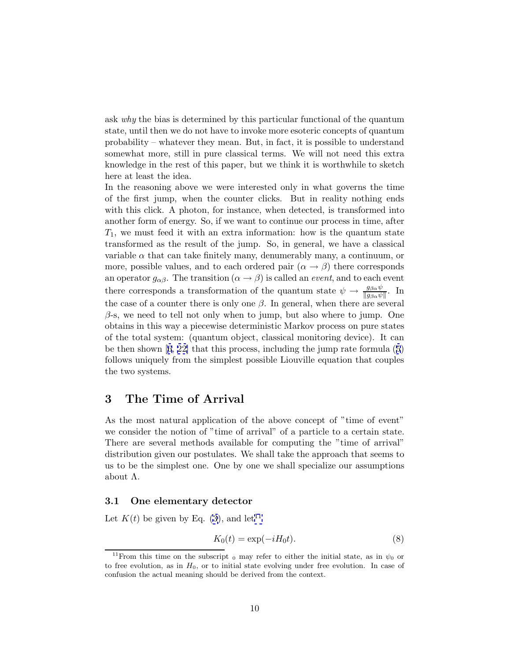ask why the bias is determined by this particular functional of the quantum state, until then we do not have to invoke more esoteric concepts of quantum probability – whatever they mean. But, in fact, it is possible to understand somewhat more, still in pure classical terms. We will not need this extra knowledge in the rest of this paper, but we think it is worthwhile to sketch here at least the idea.

In the reasoning above we were interested only in what governs the time of the first jump, when the counter clicks. But in reality nothing ends with this click. A photon, for instance, when detected, is transformed into another form of energy. So, if we want to continue our process in time, after  $T_1$ , we must feed it with an extra information: how is the quantum state transformed as the result of the jump. So, in general, we have a classical variable  $\alpha$  that can take finitely many, denumerably many, a continuum, or more, possible values, and to each ordered pair  $(\alpha \rightarrow \beta)$  there corresponds an operator  $g_{\alpha\beta}$ . The transition  $(\alpha \rightarrow \beta)$  is called an *event*, and to each event there corresponds a transformation of the quantum state  $\psi \to \frac{g_{\beta\alpha}\psi}{\|g_{\beta\alpha}\psi\|}$ . In the case of a counter there is only one  $\beta$ . In general, when there are several  $\beta$ -s, we need to tell not only when to jump, but also where to jump. One obtains in this way a piecewise deterministic Markov process on pure states of the total system: (quantum object, classical monitoring device). It can be then shown  $[6, 22]$  $[6, 22]$  $[6, 22]$  $[6, 22]$  that this process, including the jump rate formula  $(5)$  $(5)$  $(5)$ follows uniquely from the simplest possible Liouville equation that couples the two systems.

### **3 The Time of Arrival**

As the most natural application of the above concept of "time of event" we consider the notion of "time of arrival" of a particle to a certain state. There are several methods available for computing the "time of arrival" distribution given our postulates. We shall take the approach that seems to us to be the simplest one. One by one we shall specialize our assumptions about  $\Lambda$ .

#### **3.1 One elementary detector**

Let  $K(t)$  be given by Eq. [\(3\)](#page-7-0), and let<sup>11</sup>

$$
K_0(t) = \exp(-iH_0t). \tag{8}
$$

<sup>&</sup>lt;sup>11</sup>From this time on the subscript <sub>0</sub> may refer to either the initial state, as in  $\psi_0$  or to free evolution, as in  $H_0$ , or to initial state evolving under free evolution. In case of confusion the actual meaning should be derived from the context.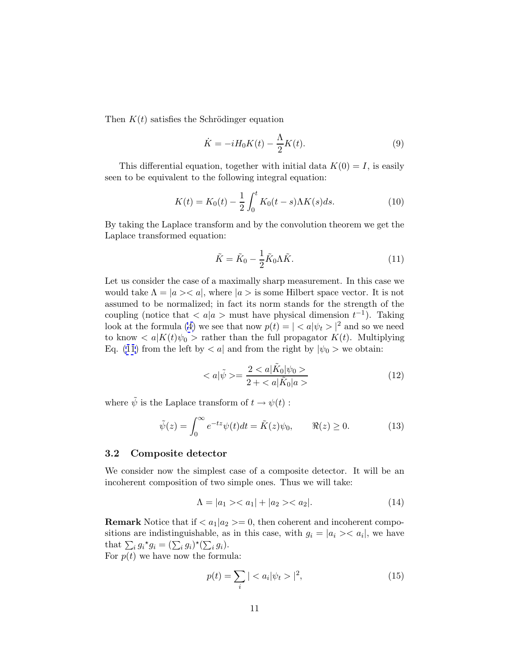<span id="page-11-0"></span>Then  $K(t)$  satisfies the Schrödinger equation

$$
\dot{K} = -iH_0K(t) - \frac{\Lambda}{2}K(t). \tag{9}
$$

This differential equation, together with initial data  $K(0) = I$ , is easily seen to be equivalent to the following integral equation:

$$
K(t) = K_0(t) - \frac{1}{2} \int_0^t K_0(t - s) \Lambda K(s) ds.
$$
 (10)

By taking the Laplace transform and by the convolution theorem we get the Laplace transformed equation:

$$
\tilde{K} = \tilde{K}_0 - \frac{1}{2}\tilde{K}_0\Lambda\tilde{K}.
$$
\n(11)

Let us consider the case of a maximally sharp measurement. In this case we would take  $\Lambda = |a \rangle \langle a|$ , where  $|a \rangle$  is some Hilbert space vector. It is not assumed to be normalized; in fact its norm stands for the strength of the coupling (notice that  $\langle a | a \rangle$  must have physical dimension  $t^{-1}$ ). Taking look at the formula [\(4\)](#page-7-0) we see that now  $p(t) = \vert \langle a \vert \psi_t \rangle \vert^2$  and so we need to know  $\langle a|K(t)\psi_0\rangle$  rather than the full propagator  $K(t)$ . Multiplying Eq. (11) from the left by  $\langle a |$  and from the right by  $|\psi_0\rangle$  we obtain:

$$
\langle a|\tilde{\psi}\rangle = \frac{2 \langle a|\tilde{K}_0|\psi_0\rangle}{2 \langle a|\tilde{K}_0|a\rangle} \tag{12}
$$

where  $\tilde{\psi}$  is the Laplace transform of  $t \to \psi(t)$ :

$$
\tilde{\psi}(z) = \int_0^\infty e^{-tz} \psi(t) dt = \tilde{K}(z)\psi_0, \qquad \Re(z) \ge 0.
$$
\n(13)

### **3.2 Composite detector**

We consider now the simplest case of a composite detector. It will be an incoherent composition of two simple ones. Thus we will take:

$$
\Lambda = |a_1\rangle \langle a_1| + |a_2\rangle \langle a_2|.
$$
 (14)

**Remark** Notice that if  $\langle a_1 | a_2 \rangle = 0$ , then coherent and incoherent compositions are indistinguishable, as in this case, with  $g_i = |a_i\rangle \langle a_i|$ , we have that  $\sum_i g_i^* g_i = (\sum_i g_i)^* (\sum_i g_i).$ For  $p(t)$  we have now the formula:

$$
p(t) = \sum_{i} | \langle a_i | \psi_t \rangle |^2, \tag{15}
$$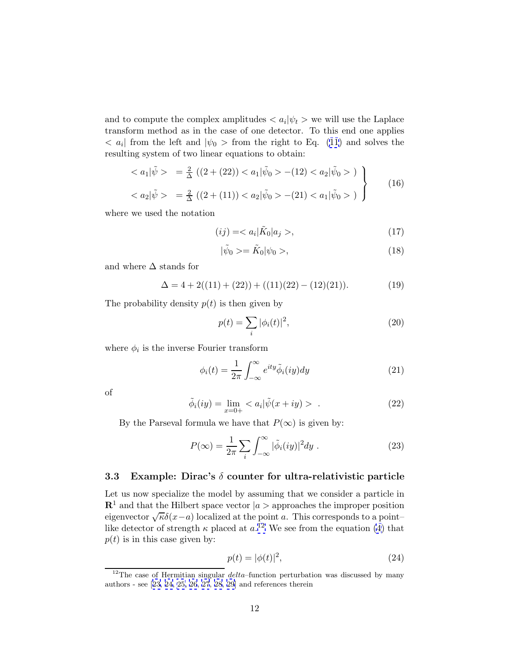<span id="page-12-0"></span>and to compute the complex amplitudes  $\langle a_i | \psi_t \rangle$  we will use the Laplace transform method as in the case of one detector. To this end one applies  $\langle a_i|$  from the left and  $|\psi_0\rangle$  from the right to Eq. [\(11](#page-11-0)) and solves the resulting system of two linear equations to obtain:

$$
\langle a_1 | \tilde{\psi} \rangle = \frac{2}{\Delta} ((2 + (22)) \langle a_1 | \tilde{\psi}_0 \rangle - (12) \langle a_2 | \tilde{\psi}_0 \rangle )
$$
  

$$
\langle a_2 | \tilde{\psi} \rangle = \frac{2}{\Delta} ((2 + (11)) \langle a_2 | \tilde{\psi}_0 \rangle - (21) \langle a_1 | \tilde{\psi}_0 \rangle )
$$
 (16)

where we used the notation

$$
(ij) = \langle a_i | \tilde{K}_0 | a_j \rangle, \tag{17}
$$

$$
|\tilde{\psi}_0\rangle = \tilde{K}_0|\psi_0\rangle,\tag{18}
$$

and where  $\Delta$  stands for

$$
\Delta = 4 + 2((11) + (22)) + ((11)(22) - (12)(21)).
$$
\n(19)

The probability density  $p(t)$  is then given by

$$
p(t) = \sum_{i} |\phi_i(t)|^2,
$$
\n(20)

where  $\phi_i$  is the inverse Fourier transform

$$
\phi_i(t) = \frac{1}{2\pi} \int_{-\infty}^{\infty} e^{ity} \tilde{\phi}_i(iy) dy \qquad (21)
$$

of

$$
\tilde{\phi}_i(iy) = \lim_{x=0+} < a_i|\tilde{\psi}(x+iy) > . \tag{22}
$$

By the Parseval formula we have that  $P(\infty)$  is given by:

$$
P(\infty) = \frac{1}{2\pi} \sum_{i} \int_{-\infty}^{\infty} |\tilde{\phi}_i(iy)|^2 dy .
$$
 (23)

### **3.3 Example: Dirac's** δ **counter for ultra-relativistic particle**

Let us now specialize the model by assuming that we consider a particle in  $\mathbb{R}^1$  and that the Hilbert space vector  $|a\rangle$  approaches the improper position eigenvector  $\sqrt{\kappa}\delta(x-a)$  localized at the point a. This corresponds to a point– like detector of strength  $\kappa$  placed at  $a$ <sup>12</sup> We see from the equation [\(4\)](#page-7-0) that  $p(t)$  is in this case given by:

$$
p(t) = |\phi(t)|^2,\tag{24}
$$

<sup>&</sup>lt;sup>12</sup>The case of Hermitian singular  $delta$ -function perturbation was discussed by many authors - see [[23](#page-20-0), [24, 25, 26](#page-20-0), [27](#page-20-0), [28](#page-20-0), [29](#page-20-0)] and references therein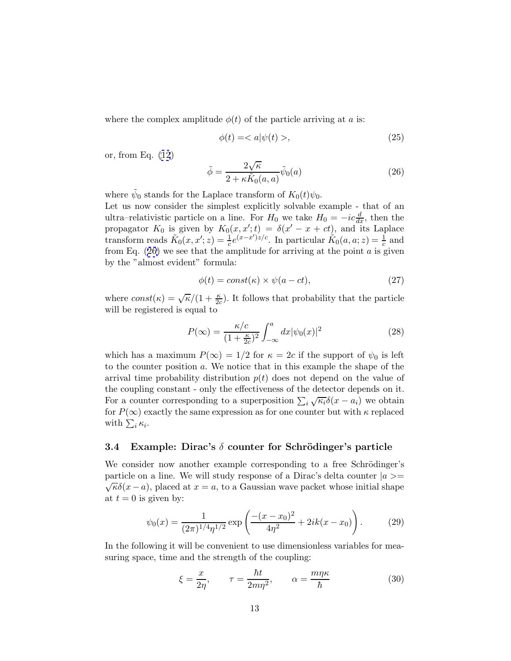<span id="page-13-0"></span>where the complex amplitude  $\phi(t)$  of the particle arriving at a is:

$$
\phi(t) = \langle a|\psi(t) \rangle, \tag{25}
$$

or, from Eq. [\(12](#page-11-0))

$$
\tilde{\phi} = \frac{2\sqrt{\kappa}}{2 + \kappa \tilde{K}_0(a, a)} \tilde{\psi}_0(a)
$$
\n(26)

where  $\psi_0$  stands for the Laplace transform of  $K_0(t)\psi_0$ .

Let us now consider the simplest explicitly solvable example - that of an ultra–relativistic particle on a line. For  $H_0$  we take  $H_0 = -ic \frac{d}{dx}$ , then the propagator  $K_0$  is given by  $K_0(x, x'; t) = \delta(x'-x + ct)$ , and its Laplace transform reads  $\tilde{K}_0(x, x'; z) = \frac{1}{c} e^{(x-x')z/c}$ . In particular  $\tilde{K}_0(a, a; z) = \frac{1}{c}$  and from Eq.  $(26)$  we see that the amplitude for arriving at the point a is given by the "almost evident" formula:

$$
\phi(t) = const(\kappa) \times \psi(a - ct), \qquad (27)
$$

where  $const(\kappa) = \sqrt{\kappa}/(1 + \frac{\kappa}{2c})$ . It follows that probability that the particle will be registered is equal to

$$
P(\infty) = \frac{\kappa/c}{(1 + \frac{\kappa}{2c})^2} \int_{-\infty}^{a} dx |\psi_0(x)|^2
$$
 (28)

which has a maximum  $P(\infty)=1/2$  for  $\kappa=2c$  if the support of  $\psi_0$  is left to the counter position a. We notice that in this example the shape of the arrival time probability distribution  $p(t)$  does not depend on the value of the coupling constant - only the effectiveness of the detector depends on it. For a counter corresponding to a superposition  $\sum_i \sqrt{\kappa_i} \delta(x - a_i)$  we obtain for  $P(\infty)$  exactly the same expression as for one counter but with  $\kappa$  replaced with  $\sum_i \kappa_i$ .

#### **3.4 Example: Dirac's δ counter for Schrödinger's particle**

We consider now another example corresponding to a free Schrödinger's particle on a line. We will study response of a Dirac's delta counter  $|a\rangle = \sqrt{\kappa} \delta(x-a)$ , placed at  $x=a$ , to a Gaussian wave packet whose initial shape at  $t = 0$  is given by:

$$
\psi_0(x) = \frac{1}{(2\pi)^{1/4} \eta^{1/2}} \exp\left(\frac{-(x-x_0)^2}{4\eta^2} + 2ik(x-x_0)\right). \tag{29}
$$

In the following it will be convenient to use dimensionless variables for measuring space, time and the strength of the coupling:

$$
\xi = \frac{x}{2\eta}, \qquad \tau = \frac{\hbar t}{2m\eta^2}, \qquad \alpha = \frac{m\eta\kappa}{\hbar} \tag{30}
$$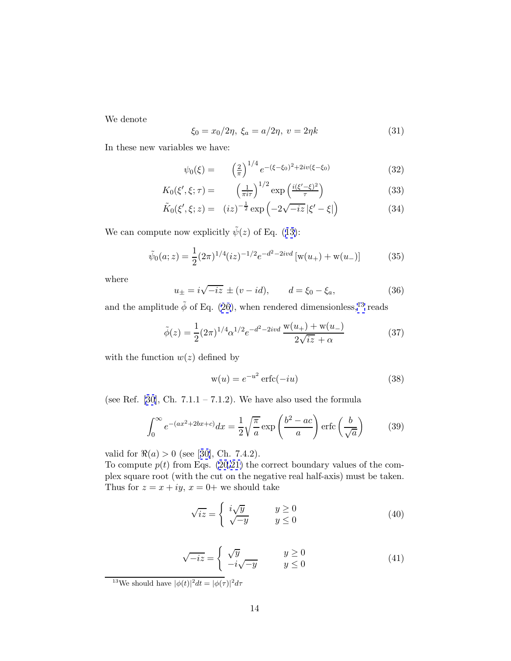We denote

$$
\xi_0 = x_0/2\eta, \ \xi_a = a/2\eta, \ v = 2\eta k \tag{31}
$$

In these new variables we have:

$$
\psi_0(\xi) = \left(\frac{2}{\pi}\right)^{1/4} e^{-(\xi - \xi_0)^2 + 2iv(\xi - \xi_0)} \tag{32}
$$

$$
K_0(\xi', \xi; \tau) = \left(\frac{1}{\pi i \tau}\right)^{1/2} \exp\left(\frac{i(\xi' - \xi)^2}{\tau}\right) \tag{33}
$$

$$
\tilde{K}_0(\xi', \xi; z) = (iz)^{-\frac{1}{2}} \exp\left(-2\sqrt{-iz}|\xi' - \xi|\right)
$$
\n(34)

We can compute now explicitly  $\tilde{\psi}(z)$  of Eq. ([13\)](#page-11-0):

$$
\tilde{\psi}_0(a;z) = \frac{1}{2} (2\pi)^{1/4} (iz)^{-1/2} e^{-d^2 - 2ivd} \left[ w(u_+) + w(u_-) \right] \tag{35}
$$

where

$$
u_{\pm} = i\sqrt{-iz} \pm (v - id), \qquad d = \xi_0 - \xi_a,
$$
 (36)

and the amplitude  $\tilde{\phi}$  of Eq. [\(26](#page-13-0)), when rendered dimensionless,<sup>13</sup> reads

$$
\tilde{\phi}(z) = \frac{1}{2} (2\pi)^{1/4} \alpha^{1/2} e^{-d^2 - 2ivd} \frac{w(u_+) + w(u_-)}{2\sqrt{iz} + \alpha}
$$
\n(37)

with the function  $w(z)$  defined by

$$
w(u) = e^{-u^2} \operatorname{erfc}(-iu)
$$
 (38)

(see Ref. [[30\]](#page-20-0), Ch.  $7.1.1 - 7.1.2$ ). We have also used the formula

$$
\int_0^\infty e^{-(ax^2+2bx+c)}dx = \frac{1}{2}\sqrt{\frac{\pi}{a}}\exp\left(\frac{b^2-ac}{a}\right)\operatorname{erfc}\left(\frac{b}{\sqrt{a}}\right) \tag{39}
$$

valid for  $\Re(a) > 0$  (see [[30\]](#page-20-0), Ch. 7.4.2).

To compute  $p(t)$  from Eqs. [\(20,21\)](#page-12-0) the correct boundary values of the complex square root (with the cut on the negative real half-axis) must be taken. Thus for  $z = x + iy$ ,  $x = 0$ + we should take

$$
\sqrt{iz} = \begin{cases} i\sqrt{y} & y \ge 0\\ \sqrt{-y} & y \le 0 \end{cases}
$$
 (40)

$$
\sqrt{-iz} = \begin{cases} \sqrt{y} & y \ge 0\\ -i\sqrt{-y} & y \le 0 \end{cases}
$$
 (41)

<sup>13</sup>We should have  $|\phi(t)|^2 dt = |\phi(\tau)|^2 d\tau$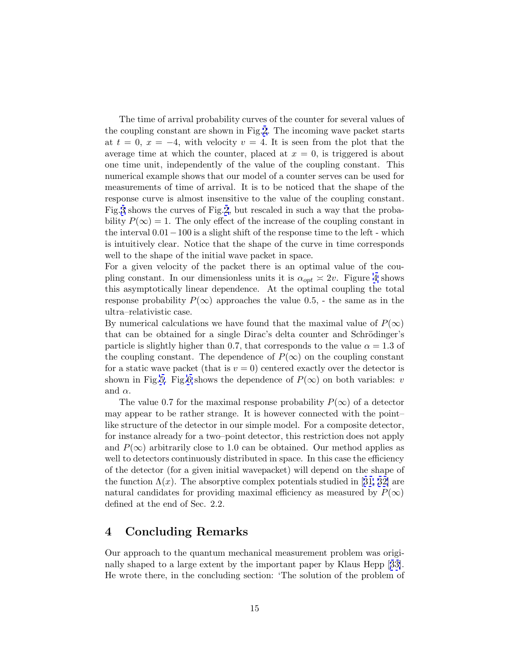The time of arrival probability curves of the counter for several values of the coupling constant are shown in Fig.[2](#page-23-0). The incoming wave packet starts at  $t = 0$ ,  $x = -4$ , with velocity  $v = 4$ . It is seen from the plot that the average time at which the counter, placed at  $x = 0$ , is triggered is about one time unit, independently of the value of the coupling constant. This numerical example shows that our model of a counter serves can be used for measurements of time of arrival. It is to be noticed that the shape of the response curve is almost insensitive to the value of the coupling constant. Fig.[3](#page-23-0) shows the curves of Fig.[2](#page-23-0), but rescaled in such a way that the probability  $P(\infty) = 1$ . The only effect of the increase of the coupling constant in the interval  $0.01-100$  is a slight shift of the response time to the left - which is intuitively clear. Notice that the shape of the curve in time corresponds well to the shape of the initial wave packet in space.

For a given velocity of the packet there is an optimal value of the coupling constant. In our dimensionless units it is  $\alpha_{opt} \approx 2v$ . Figure [4](#page-24-0) shows this asymptotically linear dependence. At the optimal coupling the total response probability  $P(\infty)$  approaches the value 0.5, - the same as in the ultra–relativistic case.

By numerical calculations we have found that the maximal value of  $P(\infty)$ that can be obtained for a single Dirac's delta counter and Schrödinger's particle is slightly higher than 0.7, that corresponds to the value  $\alpha = 1.3$  of the coupling constant. The dependence of  $P(\infty)$  on the coupling constant for a static wave packet (that is  $v = 0$ ) centered exactly over the detector is shown in Fig[.5.](#page-24-0) Fig[.6](#page-25-0) shows the dependence of  $P(\infty)$  on both variables: v and  $\alpha$ .

The value 0.7 for the maximal response probability  $P(\infty)$  of a detector may appear to be rather strange. It is however connected with the point– like structure of the detector in our simple model. For a composite detector, for instance already for a two–point detector, this restriction does not apply and  $P(\infty)$  arbitrarily close to 1.0 can be obtained. Our method applies as well to detectors continuously distributed in space. In this case the efficiency of the detector (for a given initial wavepacket) will depend on the shape of the function  $\Lambda(x)$ . The absorptive complex potentials studied in [[31, 32\]](#page-20-0) are natural candidates for providing maximal efficiency as measured by  $P(\infty)$ defined at the end of Sec. 2.2.

## **4 Concluding Remarks**

Our approach to the quantum mechanical measurement problem was originally shaped to a large extent by the important paper by Klaus Hepp [[33\]](#page-20-0). He wrote there, in the concluding section: 'The solution of the problem of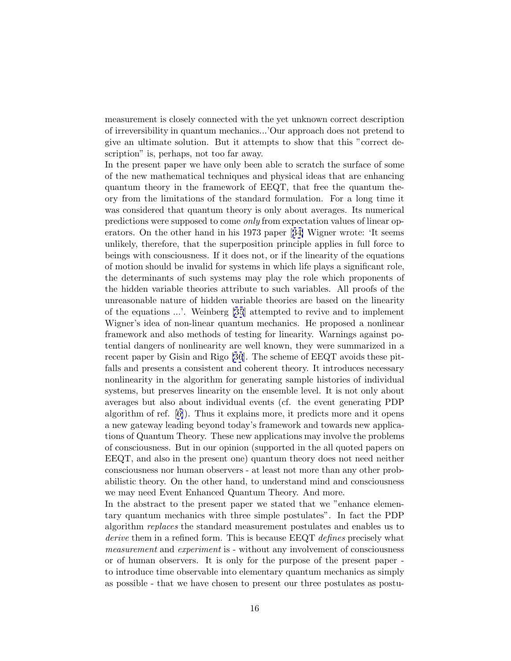measurement is closely connected with the yet unknown correct description of irreversibility in quantum mechanics...'Our approach does not pretend to give an ultimate solution. But it attempts to show that this "correct description" is, perhaps, not too far away.

In the present paper we have only been able to scratch the surface of some of the new mathematical techniques and physical ideas that are enhancing quantum theory in the framework of EEQT, that free the quantum theory from the limitations of the standard formulation. For a long time it was considered that quantum theory is only about averages. Its numerical predictions were supposed to come only from expectation values of linear operators. On the other hand in his 1973 paper [[34\]](#page-21-0) Wigner wrote: 'It seems unlikely, therefore, that the superposition principle applies in full force to beings with consciousness. If it does not, or if the linearity of the equations of motion should be invalid for systems in which life plays a significant role, the determinants of such systems may play the role which proponents of the hidden variable theories attribute to such variables. All proofs of the unreasonable nature of hidden variable theories are based on the linearity of the equations ...'. Weinberg [\[35](#page-21-0)] attempted to revive and to implement Wigner's idea of non-linear quantum mechanics. He proposed a nonlinear framework and also methods of testing for linearity. Warnings against potential dangers of nonlinearity are well known, they were summarized in a recent paper by Gisin and Rigo [\[36](#page-21-0)]. The scheme of EEQT avoids these pitfalls and presents a consistent and coherent theory. It introduces necessary nonlinearity in the algorithm for generating sample histories of individual systems, but preserves linearity on the ensemble level. It is not only about averages but also about individual events (cf. the event generating PDP algorithm of ref. [\[6\]](#page-19-0)). Thus it explains more, it predicts more and it opens a new gateway leading beyond today's framework and towards new applications of Quantum Theory. These new applications may involve the problems of consciousness. But in our opinion (supported in the all quoted papers on EEQT, and also in the present one) quantum theory does not need neither consciousness nor human observers - at least not more than any other probabilistic theory. On the other hand, to understand mind and consciousness we may need Event Enhanced Quantum Theory. And more.

In the abstract to the present paper we stated that we "enhance elementary quantum mechanics with three simple postulates". In fact the PDP algorithm replaces the standard measurement postulates and enables us to derive them in a refined form. This is because EEQT defines precisely what measurement and experiment is - without any involvement of consciousness or of human observers. It is only for the purpose of the present paper to introduce time observable into elementary quantum mechanics as simply as possible - that we have chosen to present our three postulates as postu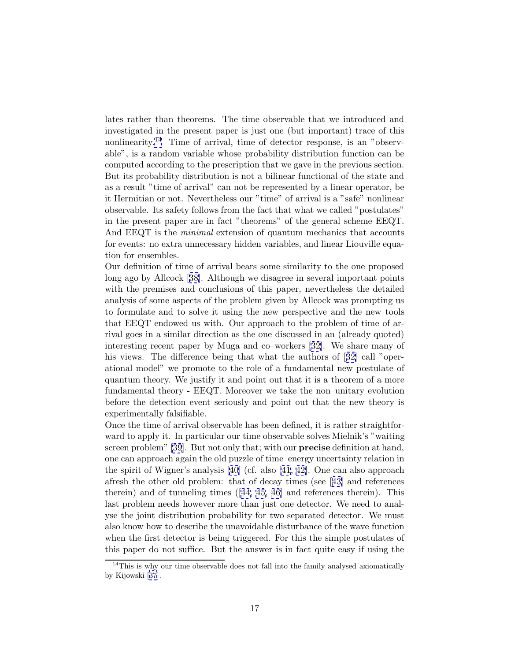lates rather than theorems. The time observable that we introduced and investigated in the present paper is just one (but important) trace of this nonlinearity.<sup>14</sup> Time of arrival, time of detector response, is an "observable", is a random variable whose probability distribution function can be computed according to the prescription that we gave in the previous section. But its probability distribution is not a bilinear functional of the state and as a result "time of arrival" can not be represented by a linear operator, be it Hermitian or not. Nevertheless our "time" of arrival is a "safe" nonlinear observable. Its safety follows from the fact that what we called "postulates" in the present paper are in fact "theorems" of the general scheme EEQT. And EEQT is the *minimal* extension of quantum mechanics that accounts for events: no extra unnecessary hidden variables, and linear Liouville equation for ensembles.

Our definition of time of arrival bears some similarity to the one proposed long ago by Allcock [[38\]](#page-21-0). Although we disagree in several important points with the premises and conclusions of this paper, nevertheless the detailed analysis of some aspects of the problem given by Allcock was prompting us to formulate and to solve it using the new perspective and the new tools that EEQT endowed us with. Our approach to the problem of time of arrival goes in a similar direction as the one discussed in an (already quoted) interesting recent paper by Muga and co–workers [[32\]](#page-20-0). We share many of his views. The difference being that what the authors of [[32\]](#page-20-0) call "operational model" we promote to the role of a fundamental new postulate of quantum theory. We justify it and point out that it is a theorem of a more fundamental theory - EEQT. Moreover we take the non–unitary evolution before the detection event seriously and point out that the new theory is experimentally falsifiable.

Once the time of arrival observable has been defined, it is rather straightforward to apply it. In particular our time observable solves Mielnik's "waiting screen problem" [\[39](#page-21-0)]. But not only that; with our **precise** definition at hand, one can approach again the old puzzle of time–energy uncertainty relation in the spirit of Wigner's analysis [[40\]](#page-21-0) (cf. also [\[41](#page-21-0), [42\]](#page-21-0). One can also approach afresh the other old problem: that of decay times (see [[43\]](#page-21-0) and references therein) and of tunneling times  $(44, 45, 46]$  $(44, 45, 46]$  $(44, 45, 46]$  and references therein). This last problem needs however more than just one detector. We need to analyse the joint distribution probability for two separated detector. We must also know how to describe the unavoidable disturbance of the wave function when the first detector is being triggered. For this the simple postulates of this paper do not suffice. But the answer is in fact quite easy if using the

 $14$ This is why our time observable does not fall into the family analysed axiomatically by Kijowski [[37](#page-21-0)].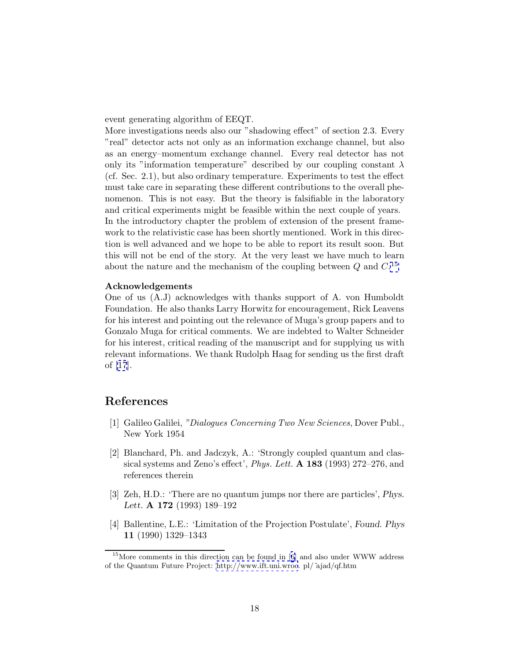<span id="page-18-0"></span>event generating algorithm of EEQT.

More investigations needs also our "shadowing effect" of section 2.3. Every "real" detector acts not only as an information exchange channel, but also as an energy–momentum exchange channel. Every real detector has not only its "information temperature" described by our coupling constant  $\lambda$ (cf. Sec. 2.1), but also ordinary temperature. Experiments to test the effect must take care in separating these different contributions to the overall phenomenon. This is not easy. But the theory is falsifiable in the laboratory and critical experiments might be feasible within the next couple of years. In the introductory chapter the problem of extension of the present framework to the relativistic case has been shortly mentioned. Work in this direction is well advanced and we hope to be able to report its result soon. But this will not be end of the story. At the very least we have much to learn about the nature and the mechanism of the coupling between  $Q$  and  $C$ .<sup>15</sup>

#### **Acknowledgements**

One of us (A.J) acknowledges with thanks support of A. von Humboldt Foundation. He also thanks Larry Horwitz for encouragement, Rick Leavens for his interest and pointing out the relevance of Muga's group papers and to Gonzalo Muga for critical comments. We are indebted to Walter Schneider for his interest, critical reading of the manuscript and for supplying us with relevant informations. We thank Rudolph Haag for sending us the first draft of [\[17](#page-19-0)].

## **References**

- [1] Galileo Galilei, "Dialogues Concerning Two New Sciences, Dover Publ., New York 1954
- [2] Blanchard, Ph. and Jadczyk, A.: 'Strongly coupled quantum and classical systems and Zeno's effect', Phys. Lett. **A 183** (1993) 272–276, and references therein
- [3] Zeh, H.D.: 'There are no quantum jumps nor there are particles', *Phys. Lett.* **A 172** (1993) 189–192
- [4] Ballentine, L.E.: 'Limitation of the Projection Postulate', *Found. Phys* **11** (1990) 1329–1343

<sup>&</sup>lt;sup>15</sup>More comments in this direction can be found in [[6](#page-19-0)] and also under WWW address of the Quantum Future Project:<http://www.ift.uni.wroc>. pl/˜ajad/qf.htm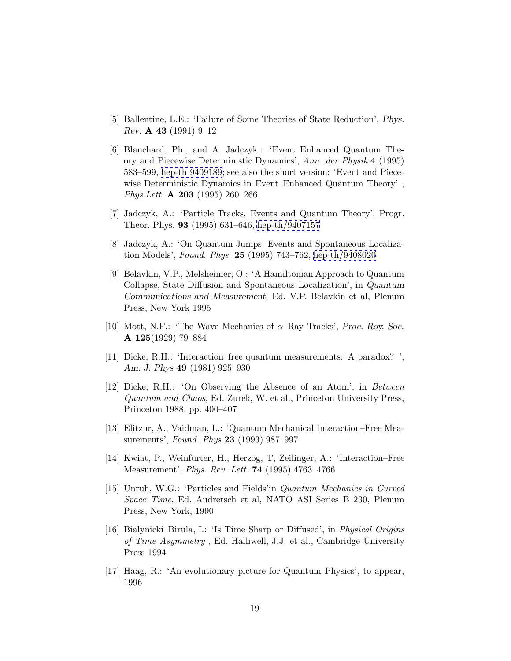- <span id="page-19-0"></span>[5] Ballentine, L.E.: 'Failure of Some Theories of State Reduction', *Phys. Rev.* **A 43** (1991) 9–12
- [6] Blanchard, Ph., and A. Jadczyk.: 'Event–Enhanced–Quantum Theory and Piecewise Deterministic Dynamics', Ann. der Physik **4** (1995) 583–599, [hep-th 9409189](http://xxx.lanl.gov/abs/hep-th/9409189); see also the short version: 'Event and Piecewise Deterministic Dynamics in Event–Enhanced Quantum Theory' , Phys.Lett. **A 203** (1995) 260–266
- [7] Jadczyk, A.: 'Particle Tracks, Events and Quantum Theory', Progr. Theor. Phys. **93** (1995) 631–646, [hep-th/9407157](http://xxx.lanl.gov/abs/hep-th/9407157)
- [8] Jadczyk, A.: 'On Quantum Jumps, Events and Spontaneous Localization Models', Found. Phys. **25** (1995) 743–762, [hep-th/9408020](http://xxx.lanl.gov/abs/hep-th/9408020)
- [9] Belavkin, V.P., Melsheimer, O.: 'A Hamiltonian Approach to Quantum Collapse, State Diffusion and Spontaneous Localization', in *Quantum Communications and Measurement*, Ed. V.P. Belavkin et al, Plenum Press, New York 1995
- [10] Mott, N.F.: 'The Wave Mechanics of α–Ray Tracks', *Proc. Roy. Soc.* **A 125**(1929) 79–884
- [11] Dicke, R.H.: 'Interaction–free quantum measurements: A paradox? ', *Am. J. Phys* **49** (1981) 925–930
- [12] Dicke, R.H.: 'On Observing the Absence of an Atom', in Between Quantum and Chaos, Ed. Zurek, W. et al., Princeton University Press, Princeton 1988, pp. 400–407
- [13] Elitzur, A., Vaidman, L.: 'Quantum Mechanical Interaction–Free Measurements', Found. Phys **23** (1993) 987–997
- [14] Kwiat, P., Weinfurter, H., Herzog, T, Zeilinger, A.: 'Interaction–Free Measurement', Phys. Rev. Lett. **74** (1995) 4763–4766
- [15] Unruh, W.G.: 'Particles and Fields'in Quantum Mechanics in Curved Space–Time, Ed. Audretsch et al, NATO ASI Series B 230, Plenum Press, New York, 1990
- [16] Bialynicki–Birula, I.: 'Is Time Sharp or Diffused', in Physical Origins of Time Asymmetry , Ed. Halliwell, J.J. et al., Cambridge University Press 1994
- [17] Haag, R.: 'An evolutionary picture for Quantum Physics', to appear, 1996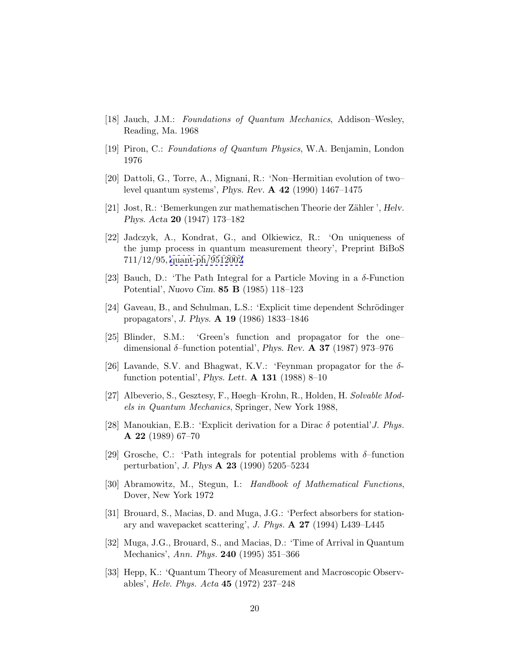- <span id="page-20-0"></span>[18] Jauch, J.M.: Foundations of Quantum Mechanics, Addison–Wesley, Reading, Ma. 1968
- [19] Piron, C.: Foundations of Quantum Physics, W.A. Benjamin, London 1976
- [20] Dattoli, G., Torre, A., Mignani, R.: 'Non–Hermitian evolution of two– level quantum systems', *Phys. Rev.* **A 42** (1990) 1467–1475
- [21] Jost, R.: 'Bemerkungen zur mathematischen Theorie der Z¨ahler ', *Helv. Phys. Acta* **20** (1947) 173–182
- [22] Jadczyk, A., Kondrat, G., and Olkiewicz, R.: 'On uniqueness of the jump process in quantum measurement theory', Preprint BiBoS 711/12/95, [quant-ph/9512002](http://xxx.lanl.gov/abs/quant-ph/9512002)
- [23] Bauch, D.: 'The Path Integral for a Particle Moving in a δ-Function Potential', *Nuovo Cim.* **85 B** (1985) 118–123
- [24] Gaveau, B., and Schulman, L.S.: 'Explicit time dependent Schrödinger propagators', *J. Phys.* **A 19** (1986) 1833–1846
- [25] Blinder, S.M.: 'Green's function and propagator for the one– dimensional δ–function potential', *Phys. Rev.* **A 37** (1987) 973–976
- [26] Lavande, S.V. and Bhagwat, K.V.: 'Feynman propagator for the  $\delta$ function potential', *Phys. Lett.* **A 131** (1988) 8–10
- [27] Albeverio, S., Gesztesy, F., Høegh–Krohn, R., Holden, H. Solvable Models in Quantum Mechanics, Springer, New York 1988,
- [28] Manoukian, E.B.: 'Explicit derivation for a Dirac  $\delta$  potential' J. Phys. **A 22** (1989) 67–70
- [29] Grosche, C.: 'Path integrals for potential problems with  $\delta$ -function perturbation', *J. Phys* **A 23** (1990) 5205–5234
- [30] Abramowitz, M., Stegun, I.: Handbook of Mathematical Functions, Dover, New York 1972
- [31] Brouard, S., Macias, D. and Muga, J.G.: 'Perfect absorbers for stationary and wavepacket scattering', J. Phys. **A 27** (1994) L439–L445
- [32] Muga, J.G., Brouard, S., and Macias, D.: 'Time of Arrival in Quantum Mechanics', Ann. Phys. **240** (1995) 351–366
- [33] Hepp, K.: 'Quantum Theory of Measurement and Macroscopic Observables', Helv. Phys. Acta **45** (1972) 237–248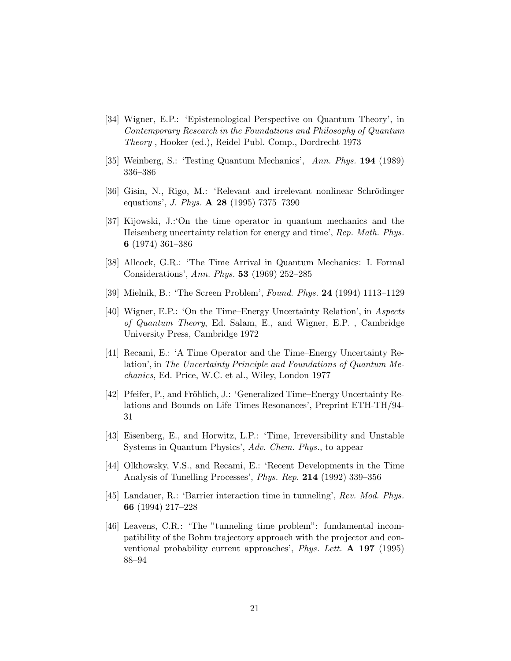- <span id="page-21-0"></span>[34] Wigner, E.P.: 'Epistemological Perspective on Quantum Theory', in Contemporary Research in the Foundations and Philosophy of Quantum Theory , Hooker (ed.), Reidel Publ. Comp., Dordrecht 1973
- [35] Weinberg, S.: 'Testing Quantum Mechanics', Ann. Phys. **194** (1989) 336–386
- [36] Gisin, N., Rigo, M.: 'Relevant and irrelevant nonlinear Schrödinger equations', J. Phys. **A 28** (1995) 7375–7390
- [37] Kijowski, J.:'On the time operator in quantum mechanics and the Heisenberg uncertainty relation for energy and time', Rep. Math. Phys. **6** (1974) 361–386
- [38] Allcock, G.R.: 'The Time Arrival in Quantum Mechanics: I. Formal Considerations', Ann. Phys. **53** (1969) 252–285
- [39] Mielnik, B.: 'The Screen Problem', Found. Phys. **24** (1994) 1113–1129
- [40] Wigner, E.P.: 'On the Time–Energy Uncertainty Relation', in Aspects of Quantum Theory, Ed. Salam, E., and Wigner, E.P. , Cambridge University Press, Cambridge 1972
- [41] Recami, E.: 'A Time Operator and the Time–Energy Uncertainty Relation', in The Uncertainty Principle and Foundations of Quantum Mechanics, Ed. Price, W.C. et al., Wiley, London 1977
- [42] Pfeifer, P., and Fröhlich, J.: 'Generalized Time–Energy Uncertainty Relations and Bounds on Life Times Resonances', Preprint ETH-TH/94- 31
- [43] Eisenberg, E., and Horwitz, L.P.: 'Time, Irreversibility and Unstable Systems in Quantum Physics', Adv. Chem. Phys., to appear
- [44] Olkhowsky, V.S., and Recami, E.: 'Recent Developments in the Time Analysis of Tunelling Processes', Phys. Rep. **214** (1992) 339–356
- [45] Landauer, R.: 'Barrier interaction time in tunneling', Rev. Mod. Phys. **66** (1994) 217–228
- [46] Leavens, C.R.: 'The "tunneling time problem": fundamental incompatibility of the Bohm trajectory approach with the projector and conventional probability current approaches', Phys. Lett. **A 197** (1995) 88–94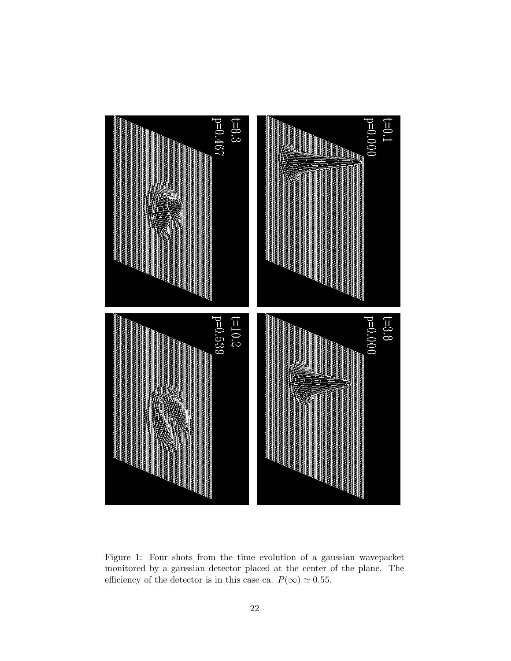<span id="page-22-0"></span>

Figure 1: Four shots from the time evolution of a gaussian wavepacket monitored by a gaussian detector placed at the center of the plane. The efficiency of the detector is in this case ca.  $P(\infty) \simeq 0.55$ .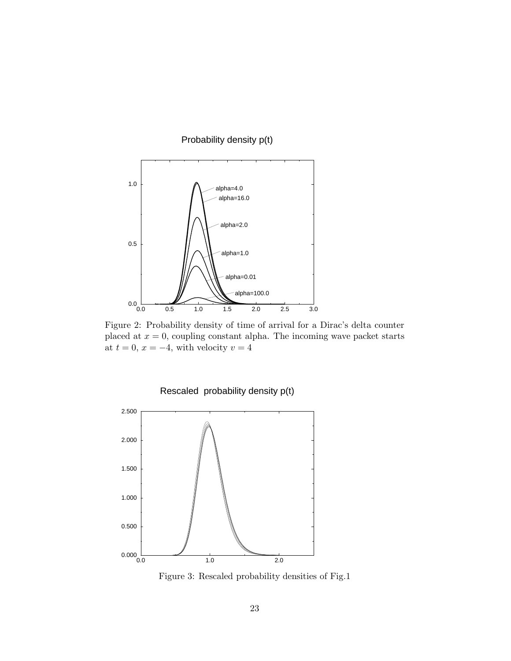<span id="page-23-0"></span>

Figure 2: Probability density of time of arrival for a Dirac's delta counter placed at  $x = 0$ , coupling constant alpha. The incoming wave packet starts at  $t = 0, x = -4$ , with velocity  $v = 4$ 





Figure 3: Rescaled probability densities of Fig.1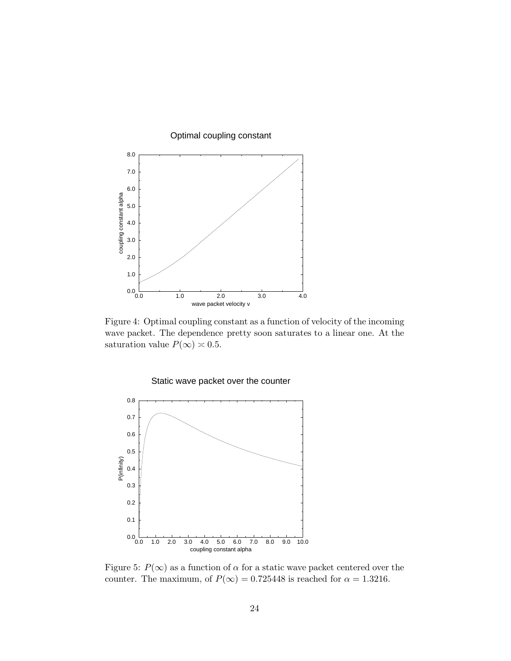<span id="page-24-0"></span>

Figure 4: Optimal coupling constant as a function of velocity of the incoming wave packet. The dependence pretty soon saturates to a linear one. At the saturation value  $P(\infty) \approx 0.5$ .





Figure 5:  $P(\infty)$  as a function of  $\alpha$  for a static wave packet centered over the counter. The maximum, of  $P(\infty) = 0.725448$  is reached for  $\alpha = 1.3216$ .